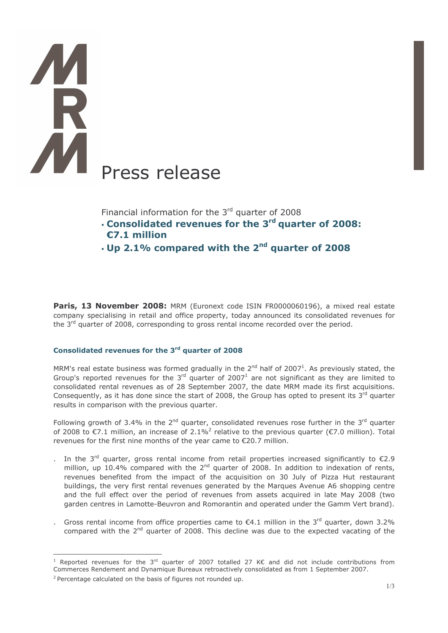# Press release

Financial information for the 3rd quarter of 2008

- Consolidated revenues for the 3<sup>rd</sup> quarter of 2008:  $E7.1$  million
- $\cdot$  Up 2.1% compared with the 2<sup>nd</sup> quarter of 2008

Paris, 13 November 2008: MRM (Euronext code ISIN FR0000060196), a mixed real estate company specialising in retail and office property, today announced its consolidated revenues for the 3<sup>rd</sup> quarter of 2008, corresponding to gross rental income recorded over the period.

# Consolidated revenues for the 3rd quarter of 2008

MRM's real estate business was formed gradually in the  $2^{nd}$  half of 2007<sup>1</sup>. As previously stated, the Group's reported revenues for the  $3^{rd}$  quarter of 2007<sup>1</sup> are not significant as they are limited to consolidated rental revenues as of 28 September 2007, the date MRM made its first acquisitions. Consequently, as it has done since the start of 2008, the Group has opted to present its 3rd quarter results in comparison with the previous quarter.

Following growth of 3.4% in the  $2^{nd}$  quarter, consolidated revenues rose further in the  $3^{rd}$  quarter of 2008 to  $\epsilon$ 7.1 million, an increase of 2.1%<sup>2</sup> relative to the previous quarter ( $\epsilon$ 7.0 million). Total revenues for the first nine months of the year came to €20.7 million.

- . In the 3<sup>rd</sup> quarter, gross rental income from retail properties increased significantly to  $\epsilon$ 2.9 million, up 10.4% compared with the 2<sup>nd</sup> quarter of 2008. In addition to indexation of rents, revenues benefited from the impact of the acquisition on 30 July of Pizza Hut restaurant buildings, the very first rental revenues generated by the Marques Avenue A6 shopping centre and the full effect over the period of revenues from assets acquired in late May 2008 (two garden centres in Lamotte-Beuvron and Romorantin and operated under the Gamm Vert brand).
- Gross rental income from office properties came to  $\epsilon$ 4.1 million in the 3<sup>rd</sup> quarter, down 3.2% compared with the 2<sup>nd</sup> quarter of 2008. This decline was due to the expected vacating of the

<sup>&</sup>lt;sup>1</sup> Reported revenues for the 3<sup>rd</sup> quarter of 2007 totalled 27 KE and did not include contributions from Commerces Rendement and Dynamique Bureaux retroactively consolidated as from 1 September 2007.

<sup>&</sup>lt;sup>2</sup> Percentage calculated on the basis of figures not rounded up.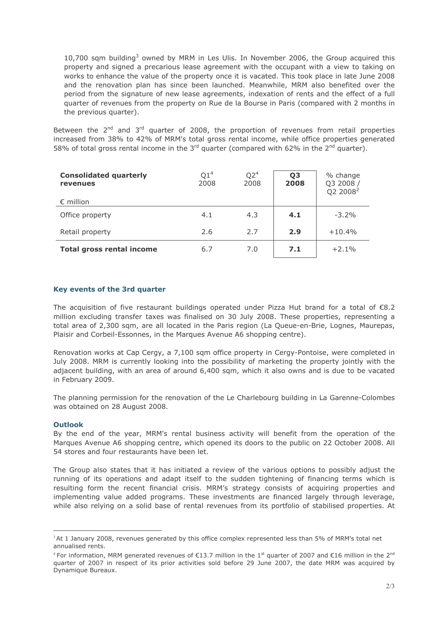10,700 sqm building<sup>3</sup> owned by MRM in Les Ulis. In November 2006, the Group acquired this property and signed a precarious lease agreement with the occupant with a view to taking on works to enhance the value of the property once it is vacated. This took place in late June 2008 and the renovation plan has since been launched. Meanwhile, MRM also benefited over the period from the signature of new lease agreements, indexation of rents and the effect of a full quarter of revenues from the property on Rue de la Bourse in Paris (compared with 2 months in the previous quarter).

Between the 2<sup>nd</sup> and 3<sup>rd</sup> quarter of 2008, the proportion of revenues from retail properties increased from 38% to 42% of MRM's total gross rental income, while office properties generated 58% of total gross rental income in the 3<sup>rd</sup> guarter (compared with 62% in the 2<sup>nd</sup> guarter).

| <b>Consolidated quarterly</b><br>revenues<br>$\epsilon$ million | Q1 <sup>4</sup><br>2008 | Q2 <sup>4</sup><br>2008 | Q <sub>3</sub><br>2008 | % change<br>Q3 2008<br>Q2 2008 <sup>2</sup> |
|-----------------------------------------------------------------|-------------------------|-------------------------|------------------------|---------------------------------------------|
| Office property                                                 | 4.1                     | 4.3                     | 4.1                    | $-3.2\%$                                    |
| Retail property                                                 | 2.6                     | 2.7                     | 2.9                    | $+10.4%$                                    |
| <b>Total gross rental income</b>                                | 6.7                     | 7.0                     | 7.1                    | $+2.1%$                                     |

# Key events of the 3rd quarter

The acquisition of five restaurant buildings operated under Pizza Hut brand for a total of  $\epsilon$ 8.2 million excluding transfer taxes was finalised on 30 July 2008. These properties, representing a total area of 2,300 sqm, are all located in the Paris region (La Queue-en-Brie, Lognes, Maurepas, Plaisir and Corbeil-Essonnes, in the Marques Avenue A6 shopping centre).

Renovation works at Cap Cergy, a 7,100 sqm office property in Cergy-Pontoise, were completed in July 2008. MRM is currently looking into the possibility of marketing the property jointly with the adjacent building, with an area of around 6,400 sqm, which it also owns and is due to be vacated in February 2009.

The planning permission for the renovation of the Le Charlebourg building in La Garenne-Colombes was obtained on 28 August 2008.

# **Outlook**

By the end of the year, MRM's rental business activity will benefit from the operation of the Marques Avenue A6 shopping centre, which opened its doors to the public on 22 October 2008. All 54 stores and four restaurants have been let.

The Group also states that it has initiated a review of the various options to possibly adjust the running of its operations and adapt itself to the sudden tightening of financing terms which is resulting form the recent financial crisis. MRM's strategy consists of acquiring properties and implementing value added programs. These investments are financed largely through leverage, while also relying on a solid base of rental revenues from its portfolio of stabilised properties. At

<sup>&</sup>lt;sup>3</sup>At 1 January 2008, revenues generated by this office complex represented less than 5% of MRM's total net annualised rents.

<sup>&</sup>lt;sup>4</sup> For information, MRM generated revenues of €13.7 million in the 1<sup>st</sup> quarter of 2007 and €16 million in the 2<sup>nd</sup> quarter of 2007 in respect of its prior activities sold before 29 June 2007, the date MRM was acquired by Dynamique Bureaux.